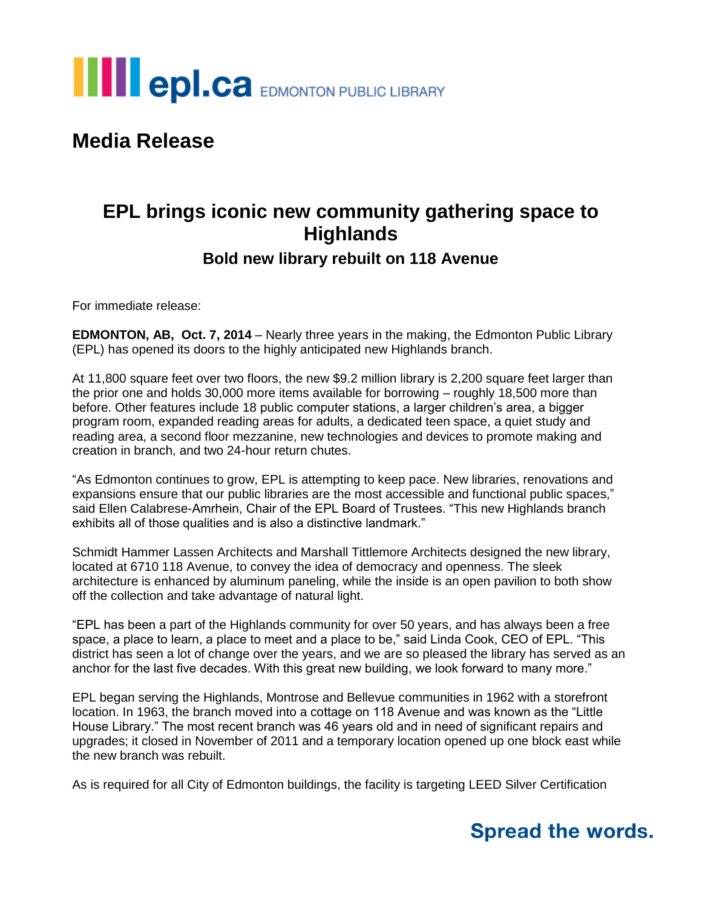

## **Media Release**

## **EPL brings iconic new community gathering space to Highlands**

#### **Bold new library rebuilt on 118 Avenue**

For immediate release:

**EDMONTON, AB, Oct. 7, 2014** – Nearly three years in the making, the Edmonton Public Library (EPL) has opened its doors to the highly anticipated new Highlands branch.

At 11,800 square feet over two floors, the new \$9.2 million library is 2,200 square feet larger than the prior one and holds 30,000 more items available for borrowing – roughly 18,500 more than before. Other features include 18 public computer stations, a larger children's area, a bigger program room, expanded reading areas for adults, a dedicated teen space, a quiet study and reading area, a second floor mezzanine, new technologies and devices to promote making and creation in branch, and two 24-hour return chutes.

"As Edmonton continues to grow, EPL is attempting to keep pace. New libraries, renovations and expansions ensure that our public libraries are the most accessible and functional public spaces," said Ellen Calabrese-Amrhein, Chair of the EPL Board of Trustees. "This new Highlands branch exhibits all of those qualities and is also a distinctive landmark."

Schmidt Hammer Lassen Architects and Marshall Tittlemore Architects designed the new library, located at 6710 118 Avenue, to convey the idea of democracy and openness. The sleek architecture is enhanced by aluminum paneling, while the inside is an open pavilion to both show off the collection and take advantage of natural light.

"EPL has been a part of the Highlands community for over 50 years, and has always been a free space, a place to learn, a place to meet and a place to be," said Linda Cook, CEO of EPL. "This district has seen a lot of change over the years, and we are so pleased the library has served as an anchor for the last five decades. With this great new building, we look forward to many more."

EPL began serving the Highlands, Montrose and Bellevue communities in 1962 with a storefront location. In 1963, the branch moved into a cottage on 118 Avenue and was known as the "Little House Library." The most recent branch was 46 years old and in need of significant repairs and upgrades; it closed in November of 2011 and a temporary location opened up one block east while the new branch was rebuilt.

As is required for all City of Edmonton buildings, the facility is targeting LEED Silver Certification

## **Spread the words.**